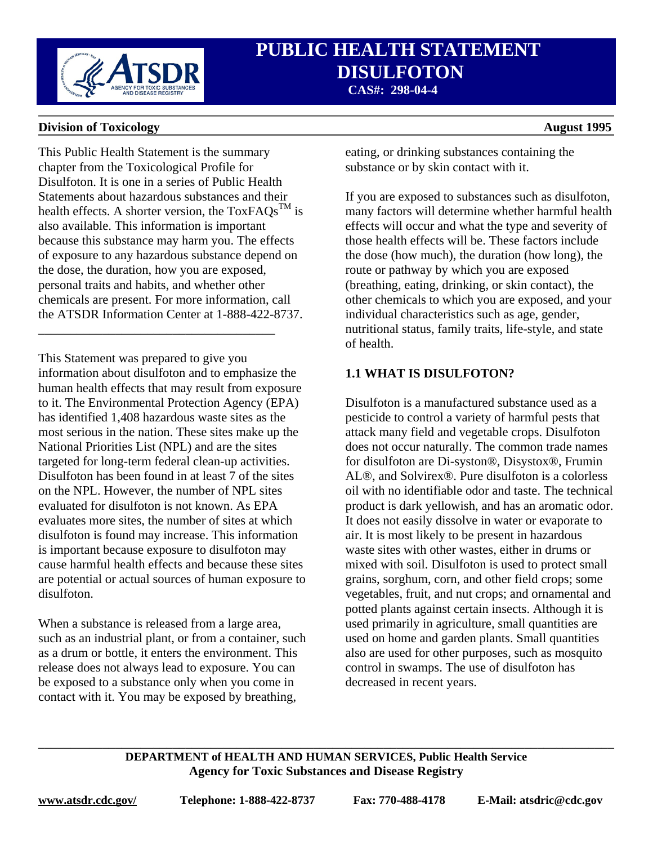

### **Division of Toxicology** August 1995

This Public Health Statement is the summary chapter from the Toxicological Profile for Disulfoton. It is one in a series of Public Health Statements about hazardous substances and their health effects. A shorter version, the ToxFAQs<sup>TM</sup> is also available. This information is important because this substance may harm you. The effects of exposure to any hazardous substance depend on the dose, the duration, how you are exposed, personal traits and habits, and whether other chemicals are present. For more information, call the ATSDR Information Center at 1-888-422-8737.

\_\_\_\_\_\_\_\_\_\_\_\_\_\_\_\_\_\_\_\_\_\_\_\_\_\_\_\_\_\_\_\_\_\_\_\_\_

This Statement was prepared to give you information about disulfoton and to emphasize the human health effects that may result from exposure to it. The Environmental Protection Agency (EPA) has identified 1,408 hazardous waste sites as the most serious in the nation. These sites make up the National Priorities List (NPL) and are the sites targeted for long-term federal clean-up activities. Disulfoton has been found in at least 7 of the sites on the NPL. However, the number of NPL sites evaluated for disulfoton is not known. As EPA evaluates more sites, the number of sites at which disulfoton is found may increase. This information is important because exposure to disulfoton may cause harmful health effects and because these sites are potential or actual sources of human exposure to disulfoton.

When a substance is released from a large area, such as an industrial plant, or from a container, such as a drum or bottle, it enters the environment. This release does not always lead to exposure. You can be exposed to a substance only when you come in contact with it. You may be exposed by breathing,

eating, or drinking substances containing the substance or by skin contact with it.

If you are exposed to substances such as disulfoton, many factors will determine whether harmful health effects will occur and what the type and severity of those health effects will be. These factors include the dose (how much), the duration (how long), the route or pathway by which you are exposed (breathing, eating, drinking, or skin contact), the other chemicals to which you are exposed, and your individual characteristics such as age, gender, nutritional status, family traits, life-style, and state of health.

# **1.1 WHAT IS DISULFOTON?**

 decreased in recent years. Disulfoton is a manufactured substance used as a pesticide to control a variety of harmful pests that attack many field and vegetable crops. Disulfoton does not occur naturally. The common trade names for disulfoton are Di-syston®, Disystox®, Frumin AL®, and Solvirex®. Pure disulfoton is a colorless oil with no identifiable odor and taste. The technical product is dark yellowish, and has an aromatic odor. It does not easily dissolve in water or evaporate to air. It is most likely to be present in hazardous waste sites with other wastes, either in drums or mixed with soil. Disulfoton is used to protect small grains, sorghum, corn, and other field crops; some vegetables, fruit, and nut crops; and ornamental and potted plants against certain insects. Although it is used primarily in agriculture, small quantities are used on home and garden plants. Small quantities also are used for other purposes, such as mosquito control in swamps. The use of disulfoton has

#### **DEPARTMENT of HEALTH AND HUMAN SERVICES, Public Health Service Agency for Toxic Substances and Disease Registry**

\_\_\_\_\_\_\_\_\_\_\_\_\_\_\_\_\_\_\_\_\_\_\_\_\_\_\_\_\_\_\_\_\_\_\_\_\_\_\_\_\_\_\_\_\_\_\_\_\_\_\_\_\_\_\_\_\_\_\_\_\_\_\_\_\_\_\_\_\_\_\_\_\_\_\_\_\_\_\_\_\_\_\_\_\_\_\_\_\_\_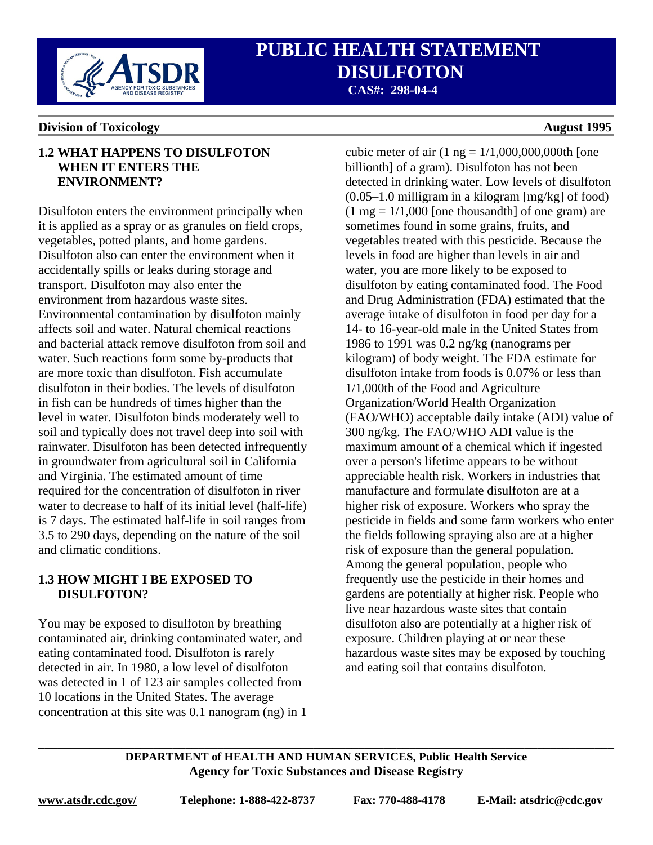

#### **Division of Toxicology August 1995**

## **1.2 WHAT HAPPENS TO DISULFOTON WHEN IT ENTERS THE ENVIRONMENT?**

Disulfoton enters the environment principally when it is applied as a spray or as granules on field crops, vegetables, potted plants, and home gardens. Disulfoton also can enter the environment when it accidentally spills or leaks during storage and transport. Disulfoton may also enter the environment from hazardous waste sites. Environmental contamination by disulfoton mainly affects soil and water. Natural chemical reactions and bacterial attack remove disulfoton from soil and water. Such reactions form some by-products that are more toxic than disulfoton. Fish accumulate disulfoton in their bodies. The levels of disulfoton in fish can be hundreds of times higher than the level in water. Disulfoton binds moderately well to soil and typically does not travel deep into soil with rainwater. Disulfoton has been detected infrequently in groundwater from agricultural soil in California and Virginia. The estimated amount of time required for the concentration of disulfoton in river water to decrease to half of its initial level (half-life) is 7 days. The estimated half-life in soil ranges from 3.5 to 290 days, depending on the nature of the soil and climatic conditions.

## **1.3 HOW MIGHT I BE EXPOSED TO DISULFOTON?**

You may be exposed to disulfoton by breathing contaminated air, drinking contaminated water, and eating contaminated food. Disulfoton is rarely detected in air. In 1980, a low level of disulfoton was detected in 1 of 123 air samples collected from 10 locations in the United States. The average concentration at this site was 0.1 nanogram (ng) in 1

cubic meter of air  $(1 \text{ ng} = 1/1,000,000,000 \text{ th})$  [one billionth] of a gram). Disulfoton has not been detected in drinking water. Low levels of disulfoton (0.05–1.0 milligram in a kilogram [mg/kg] of food)  $(1 \text{ mg} = 1/1,000 \text{ [one thousandth]} of one gram)$  are sometimes found in some grains, fruits, and vegetables treated with this pesticide. Because the levels in food are higher than levels in air and water, you are more likely to be exposed to disulfoton by eating contaminated food. The Food and Drug Administration (FDA) estimated that the average intake of disulfoton in food per day for a 14- to 16-year-old male in the United States from 1986 to 1991 was 0.2 ng/kg (nanograms per kilogram) of body weight. The FDA estimate for disulfoton intake from foods is 0.07% or less than 1/1,000th of the Food and Agriculture Organization/World Health Organization (FAO/WHO) acceptable daily intake (ADI) value of 300 ng/kg. The FAO/WHO ADI value is the maximum amount of a chemical which if ingested over a person's lifetime appears to be without appreciable health risk. Workers in industries that manufacture and formulate disulfoton are at a higher risk of exposure. Workers who spray the pesticide in fields and some farm workers who enter the fields following spraying also are at a higher risk of exposure than the general population. Among the general population, people who frequently use the pesticide in their homes and gardens are potentially at higher risk. People who live near hazardous waste sites that contain disulfoton also are potentially at a higher risk of exposure. Children playing at or near these hazardous waste sites may be exposed by touching and eating soil that contains disulfoton.

#### **DEPARTMENT of HEALTH AND HUMAN SERVICES, Public Health Service Agency for Toxic Substances and Disease Registry**

\_\_\_\_\_\_\_\_\_\_\_\_\_\_\_\_\_\_\_\_\_\_\_\_\_\_\_\_\_\_\_\_\_\_\_\_\_\_\_\_\_\_\_\_\_\_\_\_\_\_\_\_\_\_\_\_\_\_\_\_\_\_\_\_\_\_\_\_\_\_\_\_\_\_\_\_\_\_\_\_\_\_\_\_\_\_\_\_\_\_

| /www.atsdr.cdc.gov | Telephone: 1-888-422-8737 | Fax: 770-488-4178 | E-Mail: atsdric@cdc.gov |
|--------------------|---------------------------|-------------------|-------------------------|
|--------------------|---------------------------|-------------------|-------------------------|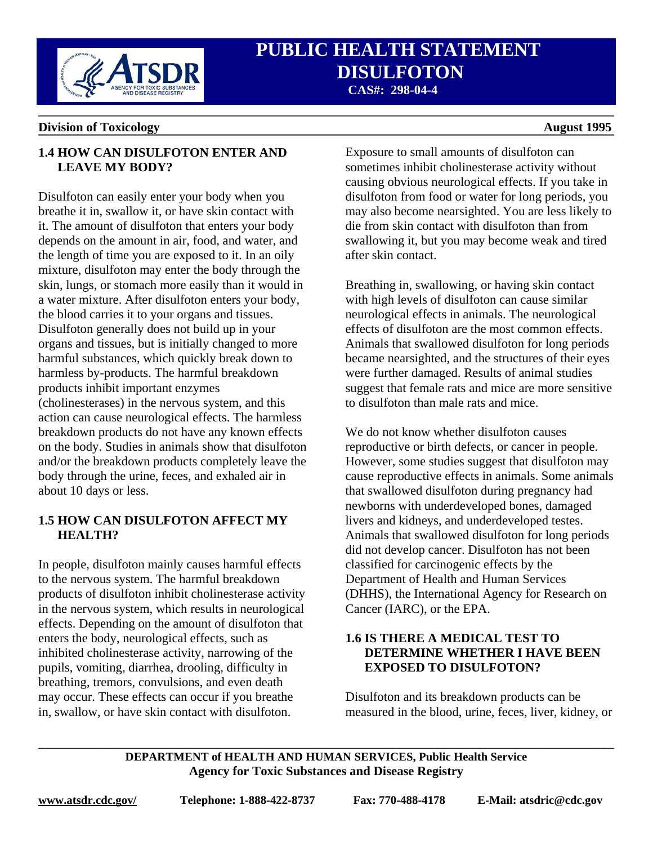

#### **Division of Toxicology August 1995**

#### **1.4 HOW CAN DISULFOTON ENTER AND LEAVE MY BODY?**

Disulfoton can easily enter your body when you breathe it in, swallow it, or have skin contact with it. The amount of disulfoton that enters your body depends on the amount in air, food, and water, and the length of time you are exposed to it. In an oily mixture, disulfoton may enter the body through the skin, lungs, or stomach more easily than it would in a water mixture. After disulfoton enters your body, the blood carries it to your organs and tissues. Disulfoton generally does not build up in your organs and tissues, but is initially changed to more harmful substances, which quickly break down to harmless by-products. The harmful breakdown products inhibit important enzymes (cholinesterases) in the nervous system, and this action can cause neurological effects. The harmless breakdown products do not have any known effects on the body. Studies in animals show that disulfoton and/or the breakdown products completely leave the body through the urine, feces, and exhaled air in about 10 days or less.

## **1.5 HOW CAN DISULFOTON AFFECT MY HEALTH?**

In people, disulfoton mainly causes harmful effects to the nervous system. The harmful breakdown products of disulfoton inhibit cholinesterase activity in the nervous system, which results in neurological effects. Depending on the amount of disulfoton that enters the body, neurological effects, such as inhibited cholinesterase activity, narrowing of the pupils, vomiting, diarrhea, drooling, difficulty in breathing, tremors, convulsions, and even death may occur. These effects can occur if you breathe in, swallow, or have skin contact with disulfoton.

Exposure to small amounts of disulfoton can sometimes inhibit cholinesterase activity without causing obvious neurological effects. If you take in disulfoton from food or water for long periods, you may also become nearsighted. You are less likely to die from skin contact with disulfoton than from swallowing it, but you may become weak and tired after skin contact.

Breathing in, swallowing, or having skin contact with high levels of disulfoton can cause similar neurological effects in animals. The neurological effects of disulfoton are the most common effects. Animals that swallowed disulfoton for long periods became nearsighted, and the structures of their eyes were further damaged. Results of animal studies suggest that female rats and mice are more sensitive to disulfoton than male rats and mice.

We do not know whether disulfoton causes reproductive or birth defects, or cancer in people. However, some studies suggest that disulfoton may cause reproductive effects in animals. Some animals that swallowed disulfoton during pregnancy had newborns with underdeveloped bones, damaged livers and kidneys, and underdeveloped testes. Animals that swallowed disulfoton for long periods did not develop cancer. Disulfoton has not been classified for carcinogenic effects by the Department of Health and Human Services (DHHS), the International Agency for Research on Cancer (IARC), or the EPA.

## **1.6 IS THERE A MEDICAL TEST TO DETERMINE WHETHER I HAVE BEEN EXPOSED TO DISULFOTON?**

Disulfoton and its breakdown products can be measured in the blood, urine, feces, liver, kidney, or

\_\_\_\_\_\_\_\_\_\_\_\_\_\_\_\_\_\_\_\_\_\_\_\_\_\_\_\_\_\_\_\_\_\_\_\_\_\_\_\_\_\_\_\_\_\_\_\_\_\_\_\_\_\_\_\_\_\_\_\_\_\_\_\_\_\_\_\_\_\_\_\_\_\_\_\_\_\_\_\_\_\_\_\_\_\_\_\_\_\_ **DEPARTMENT of HEALTH AND HUMAN SERVICES, Public Health Service Agency for Toxic Substances and Disease Registry**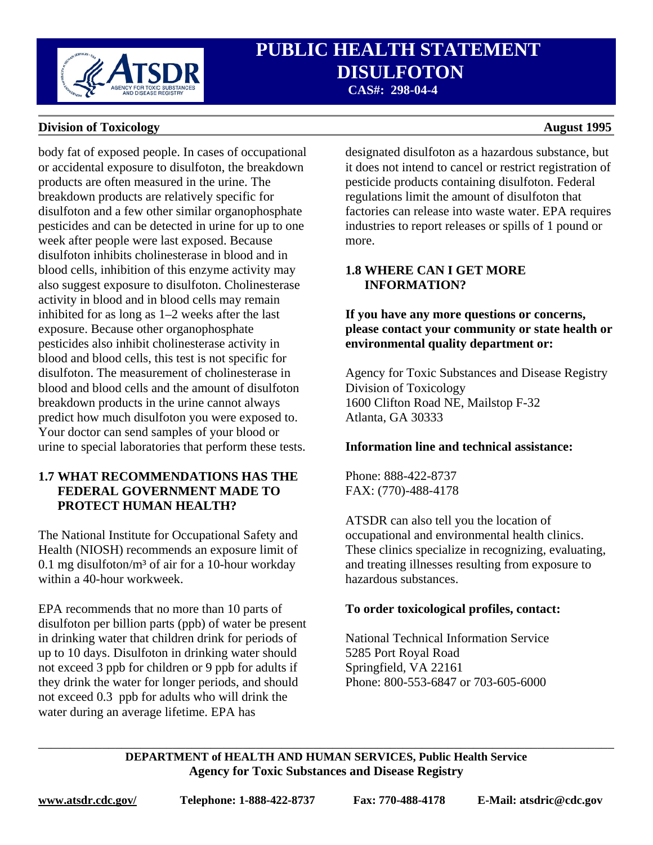

## **Division of Toxicology August 1995**

body fat of exposed people. In cases of occupational or accidental exposure to disulfoton, the breakdown products are often measured in the urine. The breakdown products are relatively specific for disulfoton and a few other similar organophosphate pesticides and can be detected in urine for up to one week after people were last exposed. Because disulfoton inhibits cholinesterase in blood and in blood cells, inhibition of this enzyme activity may also suggest exposure to disulfoton. Cholinesterase activity in blood and in blood cells may remain inhibited for as long as 1–2 weeks after the last exposure. Because other organophosphate pesticides also inhibit cholinesterase activity in blood and blood cells, this test is not specific for disulfoton. The measurement of cholinesterase in blood and blood cells and the amount of disulfoton breakdown products in the urine cannot always predict how much disulfoton you were exposed to. Your doctor can send samples of your blood or urine to special laboratories that perform these tests.

#### **1.7 WHAT RECOMMENDATIONS HAS THE FEDERAL GOVERNMENT MADE TO PROTECT HUMAN HEALTH?**

The National Institute for Occupational Safety and Health (NIOSH) recommends an exposure limit of 0.1 mg disulfoton/ $m<sup>3</sup>$  of air for a 10-hour workday within a 40-hour workweek.

EPA recommends that no more than 10 parts of disulfoton per billion parts (ppb) of water be present in drinking water that children drink for periods of up to 10 days. Disulfoton in drinking water should not exceed 3 ppb for children or 9 ppb for adults if they drink the water for longer periods, and should not exceed 0.3 ppb for adults who will drink the water during an average lifetime. EPA has

designated disulfoton as a hazardous substance, but it does not intend to cancel or restrict registration of pesticide products containing disulfoton. Federal regulations limit the amount of disulfoton that factories can release into waste water. EPA requires industries to report releases or spills of 1 pound or more.

## **1.8 WHERE CAN I GET MORE INFORMATION?**

# **If you have any more questions or concerns, please contact your community or state health or environmental quality department or:**

Agency for Toxic Substances and Disease Registry Division of Toxicology 1600 Clifton Road NE, Mailstop F-32 Atlanta, GA 30333

## **Information line and technical assistance:**

Phone: 888-422-8737 FAX: (770)-488-4178

ATSDR can also tell you the location of occupational and environmental health clinics. These clinics specialize in recognizing, evaluating, and treating illnesses resulting from exposure to hazardous substances.

#### **To order toxicological profiles, contact:**

National Technical Information Service 5285 Port Royal Road Springfield, VA 22161 Phone: 800-553-6847 or 703-605-6000

\_\_\_\_\_\_\_\_\_\_\_\_\_\_\_\_\_\_\_\_\_\_\_\_\_\_\_\_\_\_\_\_\_\_\_\_\_\_\_\_\_\_\_\_\_\_\_\_\_\_\_\_\_\_\_\_\_\_\_\_\_\_\_\_\_\_\_\_\_\_\_\_\_\_\_\_\_\_\_\_\_\_\_\_\_\_\_\_\_\_ **DEPARTMENT of HEALTH AND HUMAN SERVICES, Public Health Service Agency for Toxic Substances and Disease Registry** 

www.atsdr.cdc.gov/ **www.atsdr.cdc.gov/ Telephone: 1-888-422-8737 Fax: 770-488-4178 E-Mail: atsdric@cdc.gov**